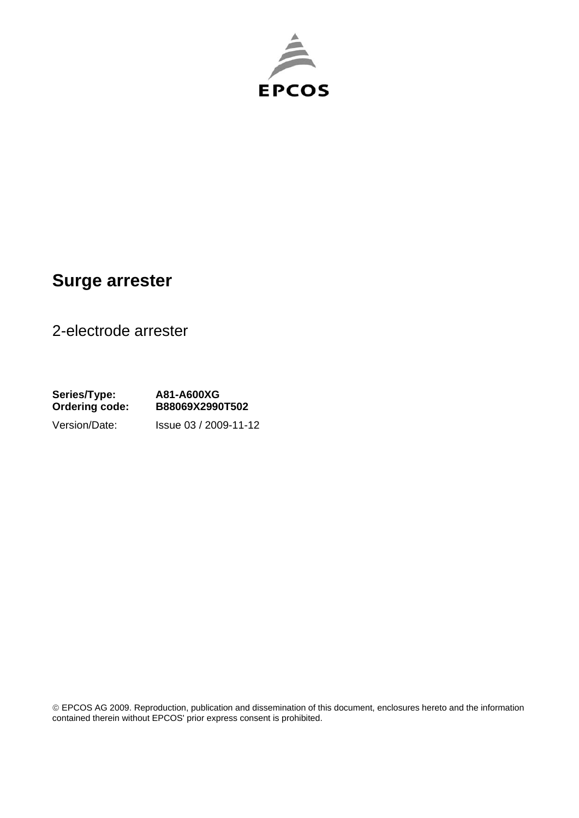

## **Surge arrester**

2-electrode arrester

**Series/Type: A81-A600XG Ordering code: B88069X2990T502**  Version/Date: Issue 03 / 2009-11-12

© EPCOS AG 2009. Reproduction, publication and dissemination of this document, enclosures hereto and the information contained therein without EPCOS' prior express consent is prohibited.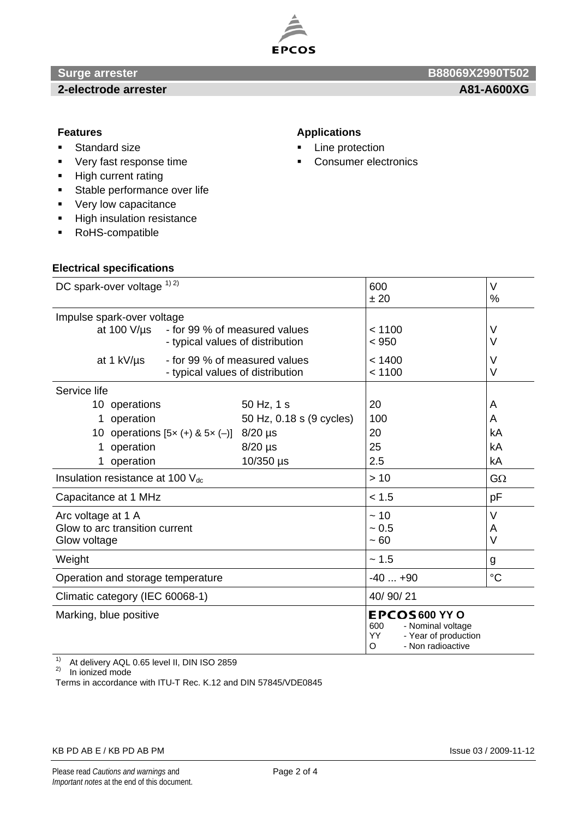

### **2-electrode arrester A81-A600XG A81-A600XG**

# **Surge arrester B88069X2990T502 B88069X2990T502**

- **Standard size**
- **very fast response time**
- High current rating
- **Stable performance over life**
- **very low capacitance**
- **High insulation resistance**
- RoHS-compatible

#### **Electrical specifications**

#### **Features Applications Applications**

- **Line protection**
- Consumer electronics

| DC spark-over voltage 1) 2)                       | 600                              | V                                                                                                 |                 |
|---------------------------------------------------|----------------------------------|---------------------------------------------------------------------------------------------------|-----------------|
|                                                   |                                  | ± 20                                                                                              | %               |
| Impulse spark-over voltage                        |                                  |                                                                                                   |                 |
| at 100 $V/\mu s$<br>- for 99 % of measured values |                                  | < 1100                                                                                            | V               |
|                                                   | - typical values of distribution | < 950                                                                                             | V               |
| - for 99 % of measured values<br>at 1 kV/us       |                                  | < 1400                                                                                            | V               |
|                                                   | - typical values of distribution | < 1100                                                                                            | V               |
| Service life                                      |                                  |                                                                                                   |                 |
| 10 operations                                     | 50 Hz, 1 s                       | 20                                                                                                | A               |
| operation<br>1                                    | 50 Hz, 0.18 s (9 cycles)         | 100                                                                                               | A               |
| 10 operations $[5x (+) & 5x (-)]$ 8/20 µs         |                                  | 20                                                                                                | kA              |
| operation<br>1                                    | $8/20$ µs                        | 25                                                                                                | kA              |
| 1 operation                                       | $10/350$ µs                      | 2.5                                                                                               | kA              |
| Insulation resistance at 100 $V_{dc}$             |                                  | >10                                                                                               | $G\Omega$       |
| Capacitance at 1 MHz                              |                                  | < 1.5                                                                                             | pF              |
| Arc voltage at 1 A                                |                                  | ~10                                                                                               | V               |
| Glow to arc transition current                    |                                  | ~10.5                                                                                             | Α               |
| Glow voltage                                      |                                  | ~100                                                                                              | V               |
| Weight                                            |                                  | ~1.5                                                                                              | g               |
| Operation and storage temperature                 |                                  | $-40+90$                                                                                          | $\rm ^{\circ}C$ |
| Climatic category (IEC 60068-1)                   |                                  | 40/90/21                                                                                          |                 |
| Marking, blue positive                            |                                  | EPCOS600 YY O<br>600<br>- Nominal voltage<br>YY<br>- Year of production<br>- Non radioactive<br>O |                 |

<sup>1)</sup> At delivery AQL 0.65 level II, DIN ISO 2859

2) In ionized mode

Terms in accordance with ITU-T Rec. K.12 and DIN 57845/VDE0845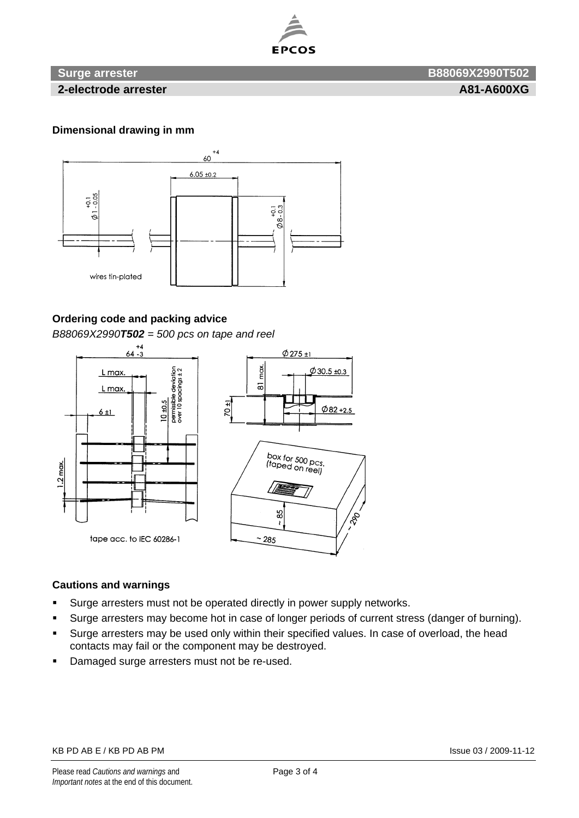

### **Surge arrester B88069X2990T502**

**2-electrode arrester A81-A600XG 2-electrode arrester A81-A600XG** 

#### **Dimensional drawing in mm**



#### **Ordering code and packing advice**

*B88069X2990T502 = 500 pcs on tape and reel*





#### **Cautions and warnings**

- Surge arresters must not be operated directly in power supply networks.
- Surge arresters may become hot in case of longer periods of current stress (danger of burning).
- Surge arresters may be used only within their specified values. In case of overload, the head contacts may fail or the component may be destroyed.
- **-** Damaged surge arresters must not be re-used.

#### KB PD AB E / KB PD AB PM Issue 03 / 2009-11-12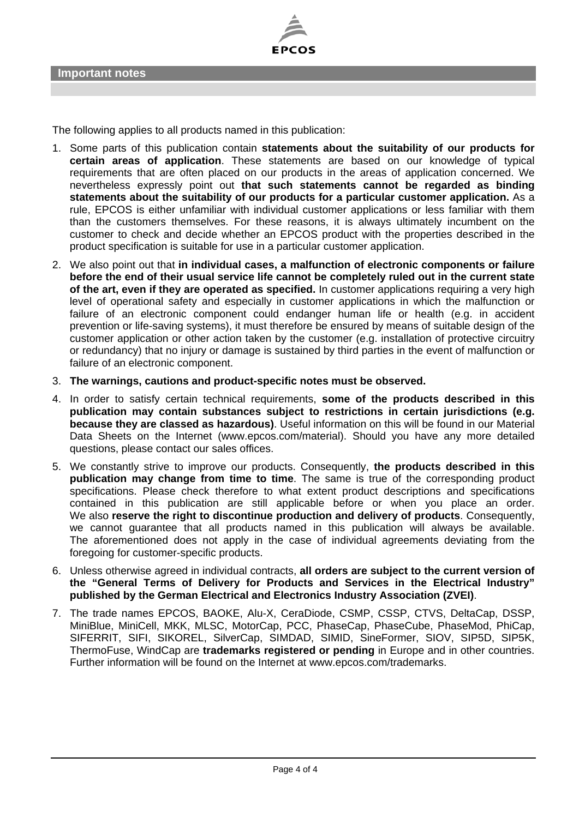

The following applies to all products named in this publication:

- 1. Some parts of this publication contain **statements about the suitability of our products for certain areas of application**. These statements are based on our knowledge of typical requirements that are often placed on our products in the areas of application concerned. We nevertheless expressly point out **that such statements cannot be regarded as binding statements about the suitability of our products for a particular customer application.** As a rule, EPCOS is either unfamiliar with individual customer applications or less familiar with them than the customers themselves. For these reasons, it is always ultimately incumbent on the customer to check and decide whether an EPCOS product with the properties described in the product specification is suitable for use in a particular customer application.
- 2. We also point out that **in individual cases, a malfunction of electronic components or failure before the end of their usual service life cannot be completely ruled out in the current state of the art, even if they are operated as specified.** In customer applications requiring a very high level of operational safety and especially in customer applications in which the malfunction or failure of an electronic component could endanger human life or health (e.g. in accident prevention or life-saving systems), it must therefore be ensured by means of suitable design of the customer application or other action taken by the customer (e.g. installation of protective circuitry or redundancy) that no injury or damage is sustained by third parties in the event of malfunction or failure of an electronic component.
- 3. **The warnings, cautions and product-specific notes must be observed.**
- 4. In order to satisfy certain technical requirements, **some of the products described in this publication may contain substances subject to restrictions in certain jurisdictions (e.g. because they are classed as hazardous)**. Useful information on this will be found in our Material Data Sheets on the Internet (www.epcos.com/material). Should you have any more detailed questions, please contact our sales offices.
- 5. We constantly strive to improve our products. Consequently, **the products described in this publication may change from time to time**. The same is true of the corresponding product specifications. Please check therefore to what extent product descriptions and specifications contained in this publication are still applicable before or when you place an order. We also **reserve the right to discontinue production and delivery of products**. Consequently, we cannot guarantee that all products named in this publication will always be available. The aforementioned does not apply in the case of individual agreements deviating from the foregoing for customer-specific products.
- 6. Unless otherwise agreed in individual contracts, **all orders are subject to the current version of the "General Terms of Delivery for Products and Services in the Electrical Industry" published by the German Electrical and Electronics Industry Association (ZVEI)**.
- 7. The trade names EPCOS, BAOKE, Alu-X, CeraDiode, CSMP, CSSP, CTVS, DeltaCap, DSSP, MiniBlue, MiniCell, MKK, MLSC, MotorCap, PCC, PhaseCap, PhaseCube, PhaseMod, PhiCap, SIFERRIT, SIFI, SIKOREL, SilverCap, SIMDAD, SIMID, SineFormer, SIOV, SIP5D, SIP5K, ThermoFuse, WindCap are **trademarks registered or pending** in Europe and in other countries. Further information will be found on the Internet at www.epcos.com/trademarks.